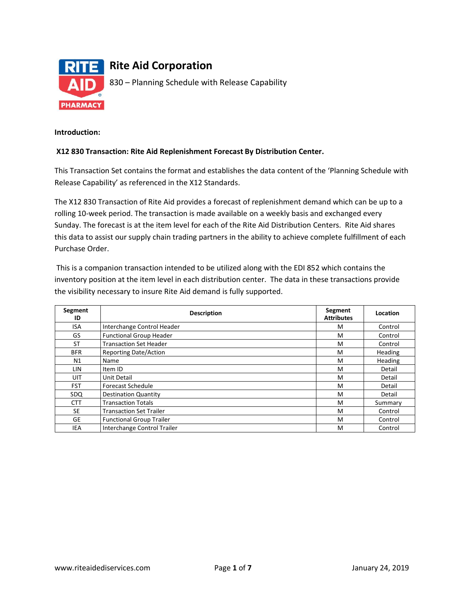

### **Introduction:**

### **X12 830 Transaction: Rite Aid Replenishment Forecast By Distribution Center.**

This Transaction Set contains the format and establishes the data content of the 'Planning Schedule with Release Capability' as referenced in the X12 Standards.

The X12 830 Transaction of Rite Aid provides a forecast of replenishment demand which can be up to a rolling 10-week period. The transaction is made available on a weekly basis and exchanged every Sunday. The forecast is at the item level for each of the Rite Aid Distribution Centers. Rite Aid shares this data to assist our supply chain trading partners in the ability to achieve complete fulfillment of each Purchase Order.

This is a companion transaction intended to be utilized along with the EDI 852 which contains the inventory position at the item level in each distribution center. The data in these transactions provide the visibility necessary to insure Rite Aid demand is fully supported.

| Segment<br>ID | <b>Description</b>              | Segment<br><b>Attributes</b> | Location       |
|---------------|---------------------------------|------------------------------|----------------|
| <b>ISA</b>    | Interchange Control Header      | M                            | Control        |
| GS            | <b>Functional Group Header</b>  | M                            | Control        |
| <b>ST</b>     | <b>Transaction Set Header</b>   | M                            | Control        |
| <b>BFR</b>    | <b>Reporting Date/Action</b>    | M                            | <b>Heading</b> |
| N1            | Name                            | M                            | Heading        |
| LIN.          | Item ID                         | M                            | Detail         |
| UIT           | Unit Detail                     | M                            | Detail         |
| <b>FST</b>    | <b>Forecast Schedule</b>        | M                            | Detail         |
| SDQ           | <b>Destination Quantity</b>     | M                            | Detail         |
| <b>CTT</b>    | <b>Transaction Totals</b>       | M                            | Summary        |
| <b>SE</b>     | <b>Transaction Set Trailer</b>  | M                            | Control        |
| GE            | <b>Functional Group Trailer</b> | M                            | Control        |
| IEA           | Interchange Control Trailer     | м                            | Control        |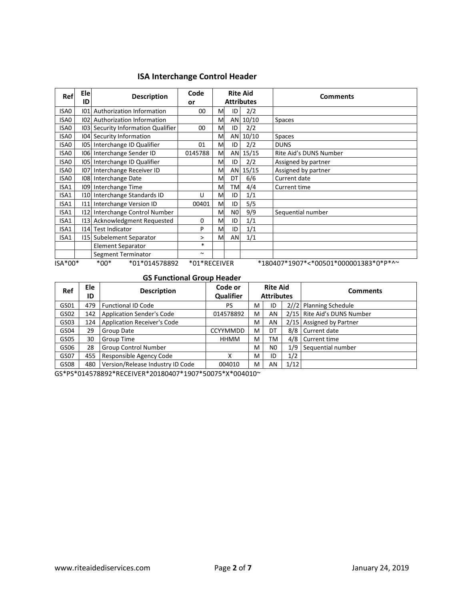# **ISA Interchange Control Header**

| Ref     | Ele<br>ID | <b>Description</b>                 | Code<br>or   |   | <b>Rite Aid</b><br><b>Attributes</b> |       | <b>Comments</b>                       |
|---------|-----------|------------------------------------|--------------|---|--------------------------------------|-------|---------------------------------------|
| ISA0    | 01        | Authorization Information          | 00           | M | ID                                   | 2/2   |                                       |
| ISA0    |           | 102 Authorization Information      |              | M | AN                                   | 10/10 | Spaces                                |
| ISA0    |           | 103 Security Information Qualifier | 00           | M | ID                                   | 2/2   |                                       |
| ISA0    |           | 104 Security Information           |              | M | AN                                   | 10/10 | <b>Spaces</b>                         |
| ISA0    |           | 105 Interchange ID Qualifier       | 01           | M | ID                                   | 2/2   | <b>DUNS</b>                           |
| ISA0    |           | 106 Interchange Sender ID          | 0145788      | M | ANI                                  | 15/15 | Rite Aid's DUNS Number                |
| ISA0    |           | 105 Interchange ID Qualifier       |              | M | ID                                   | 2/2   | Assigned by partner                   |
| ISA0    |           | 107 Interchange Receiver ID        |              | M | AN                                   | 15/15 | Assigned by partner                   |
| ISA0    |           | 108 Interchange Date               |              | M | DT                                   | 6/6   | Current date                          |
| ISA1    |           | 109 Interchange Time               |              | M | TM                                   | 4/4   | Current time                          |
| ISA1    |           | 110 Interchange Standards ID       | U            | M | ID                                   | 1/1   |                                       |
| ISA1    |           | 111 Interchange Version ID         | 00401        | M | ID                                   | 5/5   |                                       |
| ISA1    |           | 112 Interchange Control Number     |              | M | N <sub>0</sub>                       | 9/9   | Sequential number                     |
| ISA1    |           | 113 Acknowledgment Requested       | 0            | M | ID                                   | 1/1   |                                       |
| ISA1    |           | 114 Test Indicator                 | P            | M | ID                                   | 1/1   |                                       |
| ISA1    |           | 115 Subelement Separator           | >            | M | AN                                   | 1/1   |                                       |
|         |           | <b>Element Separator</b>           | $\ast$       |   |                                      |       |                                       |
|         |           | Segment Terminator                 | $\sim$       |   |                                      |       |                                       |
| ISA*00* |           | $*00*$<br>*01*014578892            | *01*RECEIVER |   |                                      |       | *180407*1907*<*00501*000001383*0*P*^~ |

### **GS Functional Group Header**

| Ref  | Ele<br>ID | <b>Description</b>               | Code or<br>Qualifier |   | <b>Rite Aid</b><br><b>Attributes</b> |      | <b>Comments</b>             |  |  |  |  |  |
|------|-----------|----------------------------------|----------------------|---|--------------------------------------|------|-----------------------------|--|--|--|--|--|
| GS01 | 479       | <b>Functional ID Code</b>        | PS                   | м | ID                                   |      | 2//2 Planning Schedule      |  |  |  |  |  |
| GS02 | 142       | Application Sender's Code        | 014578892            | м | AN                                   |      | 2/15 Rite Aid's DUNS Number |  |  |  |  |  |
| GS03 | 124       | Application Receiver's Code      |                      | м | AN                                   |      | 2/15 Assigned by Partner    |  |  |  |  |  |
| GS04 | 29        | Group Date                       | <b>CCYYMMDD</b>      | м | DT                                   |      | 8/8 Current date            |  |  |  |  |  |
| GS05 | 30        | Group Time                       | HHMM                 | м | ТM                                   | 4/8  | Current time                |  |  |  |  |  |
| GS06 | 28        | <b>Group Control Number</b>      |                      | M | N <sub>0</sub>                       | 1/9  | Sequential number           |  |  |  |  |  |
| GS07 | 455       | Responsible Agency Code          | x                    | м | ID                                   | 1/2  |                             |  |  |  |  |  |
| GS08 | 480       | Version/Release Industry ID Code | 004010               | м | AN                                   | 1/12 |                             |  |  |  |  |  |

GS\*PS\*014578892\*RECEIVER\*20180407\*1907\*50075\*X\*004010~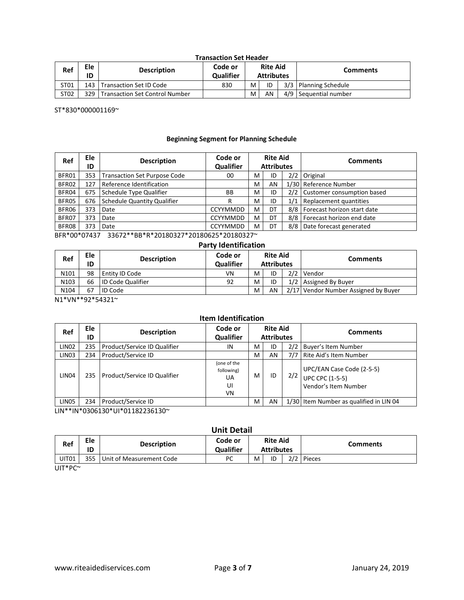| <b>Transaction Set Header</b> |  |
|-------------------------------|--|
|-------------------------------|--|

| Ref  | Ele<br>ID | <b>Description</b>             | Code or<br><b>Qualifier</b> | <b>Rite Aid</b><br><b>Attributes</b> |    | <b>Comments</b>         |
|------|-----------|--------------------------------|-----------------------------|--------------------------------------|----|-------------------------|
| ST01 |           | 143   Transaction Set ID Code  | 830                         | м                                    | ID | 3/3   Planning Schedule |
| ST02 | 329 I     | Transaction Set Control Number |                             | м                                    | AN | 4/9 Sequential number   |

ST\*830\*000001169~

### **Beginning Segment for Planning Schedule**

| Ref   | Ele<br>ID | <b>Description</b>                  | Code or<br>Qualifier |   | <b>Rite Aid</b><br><b>Attributes</b> |     | <b>Comments</b>                   |
|-------|-----------|-------------------------------------|----------------------|---|--------------------------------------|-----|-----------------------------------|
| BFR01 | 353       | <b>Transaction Set Purpose Code</b> | 00                   | м | ID                                   |     | 2/2 Original                      |
| BFR02 | 127       | Reference Identification            |                      | м | AN                                   |     | 1/30 Reference Number             |
| BFR04 | 675       | Schedule Type Qualifier             | BB                   | м | ID                                   |     | 2/2 Customer consumption based    |
| BFR05 |           | 676 Schedule Quantity Qualifier     | R                    | м | ID                                   | 1/1 | Replacement quantities            |
| BFR06 | 373       | Date                                | <b>CCYYMMDD</b>      | м | DT                                   |     | 8/8   Forecast horizon start date |
| BFR07 | 373       | Date                                | <b>CCYYMMDD</b>      | м | DT                                   |     | 8/8   Forecast horizon end date   |
| BFR08 | 373       | Date                                | <b>CCYYMMDD</b>      | м | DT                                   |     | 8/8 Date forecast generated       |

BFR\*00\*07437 33672\*\*BB\*R\*20180327\*20180625\*20180327~

### **Party Identification**

| Ref  | <b>Ele</b><br>ID | <b>Description</b>       | Code or<br><b>Qualifier</b> | <b>Rite Aid</b><br><b>Attributes</b> |    | <b>Comments</b>                      |
|------|------------------|--------------------------|-----------------------------|--------------------------------------|----|--------------------------------------|
| N101 | 98               | l Entity ID Code         | ٧N                          | M                                    | ID | 2/2 Vendor                           |
| N103 | 66               | <b>ID Code Qualifier</b> | 92                          | M                                    | ID | 1/2 Assigned By Buyer                |
| N104 | 67               | <b>ID Code</b>           |                             | M                                    | AN | 2/17 Vendor Number Assigned by Buyer |

N1\*VN\*\*92\*54321~

## **Item Identification**

| Ref               | Ele<br>ID | <b>Description</b>           | Code or<br>Qualifier                        |   | <b>Rite Aid</b><br><b>Attributes</b> |     | <b>Comments</b>                                                             |
|-------------------|-----------|------------------------------|---------------------------------------------|---|--------------------------------------|-----|-----------------------------------------------------------------------------|
| LIN <sub>02</sub> | 235       | Product/Service ID Qualifier | ΙN                                          | м | ID                                   | 2/2 | Buyer's Item Number                                                         |
| LIN <sub>03</sub> | 234       | Product/Service ID           |                                             | м | AN                                   | 7/7 | Rite Aid's Item Number                                                      |
| LIN04             | 235       | Product/Service ID Qualifier | (one of the<br>following)<br>UA<br>UI<br>VN | М | ID                                   | 2/2 | UPC/EAN Case Code (2-5-5)<br><b>UPC CPC (1-5-5)</b><br>Vendor's Item Number |
| LIN05             | 234       | Product/Service ID           |                                             | M | AN                                   |     | 1/30 Item Number as qualified in LIN 04                                     |

LIN\*\*IN\*0306130\*UI\*01182236130~

## **Unit Detail**

| Ref   | Ele<br>ID | <b>Description</b>           | Code or<br><b>Qualifier</b> |   | <b>Rite Aid</b><br><b>Attributes</b> | Comments   |
|-------|-----------|------------------------------|-----------------------------|---|--------------------------------------|------------|
| UIT01 |           | 355 Unit of Measurement Code | PC                          | м | ID                                   | 2/2 Pieces |

UIT\*PC~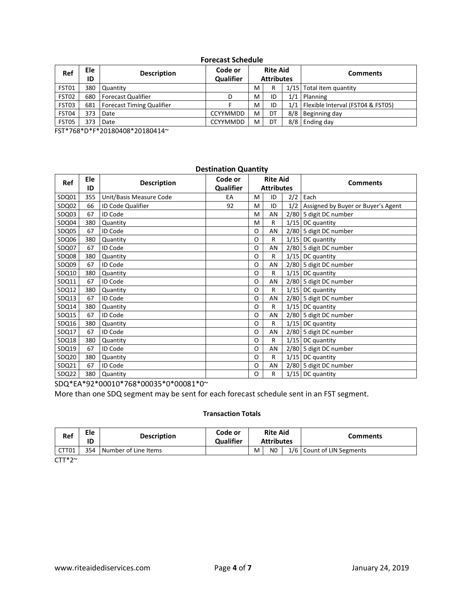### **Forecast Schedule**

| Ref   | Ele<br>ID | <b>Description</b>              | Code or<br><b>Qualifier</b> | <b>Rite Aid</b><br><b>Attributes</b> |    | <b>Comments</b>                         |
|-------|-----------|---------------------------------|-----------------------------|--------------------------------------|----|-----------------------------------------|
| FST01 |           | 380 Quantity                    |                             | м                                    | R  | 1/15 Total item quantity                |
| FST02 |           | 680   Forecast Qualifier        | D                           | м                                    | ID | $1/1$ Planning                          |
| FST03 |           | 681   Forecast Timing Qualifier |                             | M                                    | ID | 1/1   Flexible Interval (FST04 & FST05) |
| FST04 | 373       | Date                            | <b>CCYYMMDD</b>             | м                                    | DT | 8/8 Beginning day                       |
| FST05 | 373       | Date                            | <b>CCYYMMDD</b>             | м                                    | DT | 8/8 Ending day                          |

FST\*768\*D\*F\*20180408\*20180414~

#### **Destination Quantity Ref Ele ID Description Code or Qualifier Rite Aid Attributes Comments** SDQ01 355 Unit/Basis Measure Code Table 1 EA M ID 2/2 Each SDQ02 66 ID Code Qualifier 92 M ID 1/2 Assigned by Buyer or Buyer's Agent SDQ03 67 ID Code M AN 2/80 5 digit DC number  $SOQ04$  380 Quantity  $|M \mid R | 1/15 | DC$  quantity SDQ05 67 ID Code COMPUTER COMPUTER OR AN 2/80 5 digit DC number SDQ06 380 Quantity **COUNTY COUNTY AND SUGGEST ASSOCIATE** O R 1/15 DC quantity SDQ07 67 ID Code COMPUTER COMPUTER OF AN 2/80 5 digit DC number SDQ08 380 Quantity COMPUTER 1/15 DC quantity SDQ09 67 | ID Code **O AN 2/80 5 digit DC number** SDQ10 380 Quantity CONTENT CONTROLLER TO R 1/15 DC quantity SDQ11 67 ID Code COME COME O AN 2/80 5 digit DC number SDQ12 380 Quantity **CONTACT CONTRACT CONTRACT OF R** 1/15 DC quantity SDQ13 67 ID Code COME CONSERVERS AND COLLECT AN 2/80 5 digit DC number SDQ14 380 Quantity **COUP COUPS AND REVENUES** OF R 1/15 DC quantity SDQ15 67 ID Code O AN 2/80 5 digit DC number SDQ16 380 Quantity CONTENT CONTROLLEY BOOT R 1/15 DC quantity SDQ17 67 | ID Code **O AN 2/80 5 digit DC number** SDQ18 380 Quantity CONTENT CONTROLLER SDQ18 380 Quantity SDQ19 67 ID Code 0 AN 2/80 5 digit DC number SDQ20 380 Quantity **CONTENT CONTRACT CONTRACT ON R** 1/15 DC quantity SDQ21 67 ID Code O AN 2/80 5 digit DC number SDQ22 380 Quantity CONTENT CONTROLLER SDQ22 380 Quantity

SDQ\*EA\*92\*00010\*768\*00035\*0\*00081\*0~

More than one SDQ segment may be sent for each forecast schedule sent in an FST segment.

### **Transaction Totals**

| Ref   | Ele<br>ID | <b>Description</b>   | Code or<br><b>Qualifier</b> |   | <b>Rite Aid</b><br><b>Attributes</b> | <b>Comments</b>           |
|-------|-----------|----------------------|-----------------------------|---|--------------------------------------|---------------------------|
| CTT01 | 354       | Number of Line Items |                             | M | N <sub>0</sub>                       | 1/6 Count of LIN Segments |

 $CTT*2^{\sim}$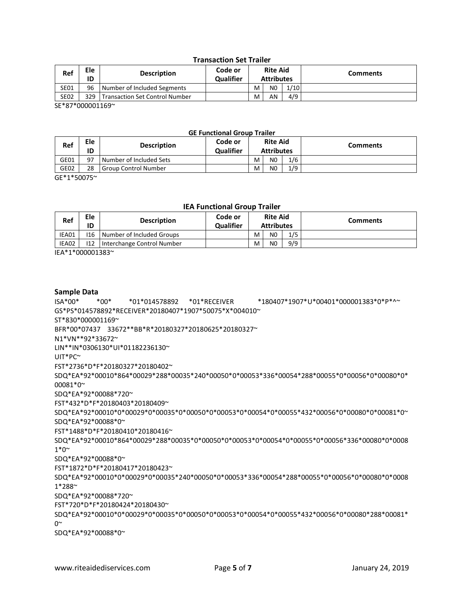### **Transaction Set Trailer**

| Ref              | Ele<br>ID | <b>Description</b>                 | Code or<br><b>Qualifier</b> |   | <b>Rite Aid</b><br><b>Attributes</b> |      | <b>Comments</b> |
|------------------|-----------|------------------------------------|-----------------------------|---|--------------------------------------|------|-----------------|
| <b>SE01</b>      | 96        | Number of Included Segments        |                             | М | N <sub>0</sub>                       | 1/10 |                 |
| <b>SE02</b>      |           | 329 Transaction Set Control Number |                             | М | AN                                   | 4/9  |                 |
| ---------------- |           |                                    |                             |   |                                      |      |                 |

SE\*87\*000001169~

### **GE Functional Group Trailer**

| Ref  | Ele<br>ID | <b>Description</b>      | Code or<br><b>Qualifier</b> | <b>Rite Aid</b><br><b>Attributes</b> |                |     | <b>Comments</b> |
|------|-----------|-------------------------|-----------------------------|--------------------------------------|----------------|-----|-----------------|
| GE01 | 97        | Number of Included Sets |                             | М                                    | N0             | 1/6 |                 |
| GE02 | 28        | Group Control Number    |                             | м                                    | N <sub>0</sub> | 1/9 |                 |

GE\*1\*50075~

### **IEA Functional Group Trailer**

| Ref   | Ele<br>ID | <b>Description</b>              | Code or<br><b>Qualifier</b> | <b>Rite Aid</b><br><b>Attributes</b> |                |     | <b>Comments</b> |
|-------|-----------|---------------------------------|-----------------------------|--------------------------------------|----------------|-----|-----------------|
| IEA01 |           | 116   Number of Included Groups |                             | м                                    | NO.            | 1/5 |                 |
| IEA02 | 112       | Interchange Control Number      |                             | м                                    | N <sub>0</sub> | 9/9 |                 |

IEA\*1\*000001383~

### **Sample Data**

ISA\*00\* \*00\* \*01\*014578892 \*01\*RECEIVER \*180407\*1907\*U\*00401\*000001383\*0\*P\*^~ GS\*PS\*014578892\*RECEIVER\*20180407\*1907\*50075\*X\*004010~ ST\*830\*000001169~ BFR\*00\*07437 33672\*\*BB\*R\*20180327\*20180625\*20180327~ N1\*VN\*\*92\*33672~ LIN\*\*IN\*0306130\*UI\*01182236130~ UIT\*PC~ FST\*2736\*D\*F\*20180327\*20180402~ SDQ\*EA\*92\*00010\*864\*00029\*288\*00035\*240\*00050\*0\*00053\*336\*00054\*288\*00055\*0\*00056\*0\*00080\*0\* 00081\*0~ SDQ\*EA\*92\*00088\*720~ FST\*432\*D\*F\*20180403\*20180409~ SDQ\*EA\*92\*00010\*0\*00029\*0\*00035\*0\*00050\*0\*00053\*0\*00054\*0\*00055\*432\*00056\*0\*00080\*0\*00081\*0~ SDQ\*EA\*92\*00088\*0~ FST\*1488\*D\*F\*20180410\*20180416~ SDQ\*EA\*92\*00010\*864\*00029\*288\*00035\*0\*00050\*0\*00053\*0\*00054\*0\*00055\*0\*00056\*336\*00080\*0\*0008  $1*0^{\sim}$ SDQ\*EA\*92\*00088\*0~ FST\*1872\*D\*F\*20180417\*20180423~ SDQ\*EA\*92\*00010\*0\*00029\*0\*00035\*240\*00050\*0\*00053\*336\*00054\*288\*00055\*0\*00056\*0\*00080\*0\*0008 1\*288~ SDQ\*EA\*92\*00088\*720~ FST\*720\*D\*F\*20180424\*20180430~ SDQ\*EA\*92\*00010\*0\*00029\*0\*00035\*0\*00050\*0\*00053\*0\*00054\*0\*00055\*432\*00056\*0\*00080\*288\*00081\*  $0^{\sim}$ SDQ\*EA\*92\*00088\*0~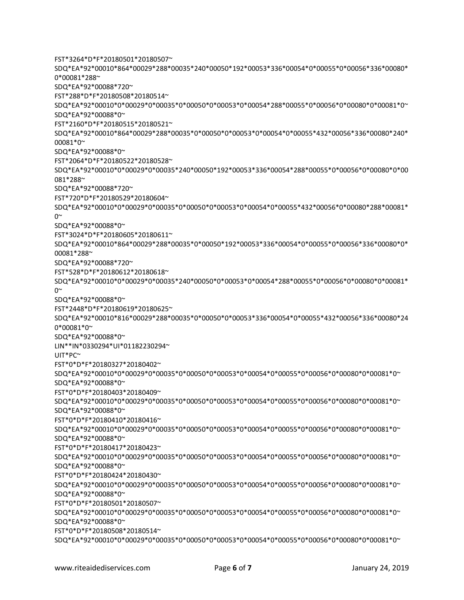FST\*3264\*D\*F\*20180501\*20180507~ SDQ\*EA\*92\*00010\*864\*00029\*288\*00035\*240\*00050\*192\*00053\*336\*00054\*0\*00055\*0\*00056\*336\*00080\* 0\*00081\*288~ SDQ\*EA\*92\*00088\*720~ FST\*288\*D\*F\*20180508\*20180514~ SDQ\*EA\*92\*00010\*0\*00029\*0\*00035\*0\*00050\*0\*00053\*0\*00054\*288\*00055\*0\*00056\*0\*00080\*0\*00081\*0~ SDQ\*EA\*92\*00088\*0~ FST\*2160\*D\*F\*20180515\*20180521~ SDQ\*EA\*92\*00010\*864\*00029\*288\*00035\*0\*00050\*0\*00053\*0\*00054\*0\*00055\*432\*00056\*336\*00080\*240\* 00081\*0~ SDQ\*EA\*92\*00088\*0~ FST\*2064\*D\*F\*20180522\*20180528~ SDQ\*EA\*92\*00010\*0\*00029\*0\*00035\*240\*00050\*192\*00053\*336\*00054\*288\*00055\*0\*00056\*0\*00080\*0\*00 081\*288~ SDQ\*EA\*92\*00088\*720~ FST\*720\*D\*F\*20180529\*20180604~ SDQ\*EA\*92\*00010\*0\*00029\*0\*00035\*0\*00050\*0\*00053\*0\*00054\*0\*00055\*432\*00056\*0\*00080\*288\*00081\*  $\cap^{\sim}$ SDQ\*EA\*92\*00088\*0~ FST\*3024\*D\*F\*20180605\*20180611~ SDQ\*EA\*92\*00010\*864\*00029\*288\*00035\*0\*00050\*192\*00053\*336\*00054\*0\*00055\*0\*00056\*336\*00080\*0\* 00081\*288~ SDQ\*EA\*92\*00088\*720~ FST\*528\*D\*F\*20180612\*20180618~ SDQ\*EA\*92\*00010\*0\*00029\*0\*00035\*240\*00050\*0\*00053\*0\*00054\*288\*00055\*0\*00056\*0\*00080\*0\*00081\*  $0^{\sim}$ SDQ\*EA\*92\*00088\*0~ FST\*2448\*D\*F\*20180619\*20180625~ SDQ\*EA\*92\*00010\*816\*00029\*288\*00035\*0\*00050\*0\*00053\*336\*00054\*0\*00055\*432\*00056\*336\*00080\*24 0\*00081\*0~ SDQ\*EA\*92\*00088\*0~ LIN\*\*IN\*0330294\*UI\*01182230294~ UIT\*PC~ FST\*0\*D\*F\*20180327\*20180402~ SDQ\*EA\*92\*00010\*0\*00029\*0\*00035\*0\*00050\*0\*00053\*0\*00054\*0\*00055\*0\*00056\*0\*00080\*0\*00081\*0~ SDQ\*EA\*92\*00088\*0~ FST\*0\*D\*F\*20180403\*20180409~ SDQ\*EA\*92\*00010\*0\*00029\*0\*00035\*0\*00050\*0\*00053\*0\*00054\*0\*00055\*0\*00056\*0\*00080\*0\*00081\*0~ SDQ\*EA\*92\*00088\*0~ FST\*0\*D\*F\*20180410\*20180416~ SDQ\*EA\*92\*00010\*0\*00029\*0\*00035\*0\*00050\*0\*00053\*0\*00054\*0\*00055\*0\*00056\*0\*00080\*0\*00081\*0~ SDQ\*EA\*92\*00088\*0~ FST\*0\*D\*F\*20180417\*20180423~ SDQ\*EA\*92\*00010\*0\*00029\*0\*00035\*0\*00050\*0\*00053\*0\*00054\*0\*00055\*0\*00056\*0\*00080\*0\*00081\*0~ SDQ\*EA\*92\*00088\*0~ FST\*0\*D\*F\*20180424\*20180430~ SDQ\*EA\*92\*00010\*0\*00029\*0\*00035\*0\*00050\*0\*00053\*0\*00054\*0\*00055\*0\*00056\*0\*00080\*0\*00081\*0~ SDQ\*EA\*92\*00088\*0~ FST\*0\*D\*F\*20180501\*20180507~ SDQ\*EA\*92\*00010\*0\*00029\*0\*00035\*0\*00050\*0\*00053\*0\*00054\*0\*00055\*0\*00056\*0\*00080\*0\*00081\*0~ SDQ\*EA\*92\*00088\*0~ FST\*0\*D\*F\*20180508\*20180514~ SDQ\*EA\*92\*00010\*0\*00029\*0\*00035\*0\*00050\*0\*00053\*0\*00054\*0\*00055\*0\*00056\*0\*00080\*0\*00081\*0~